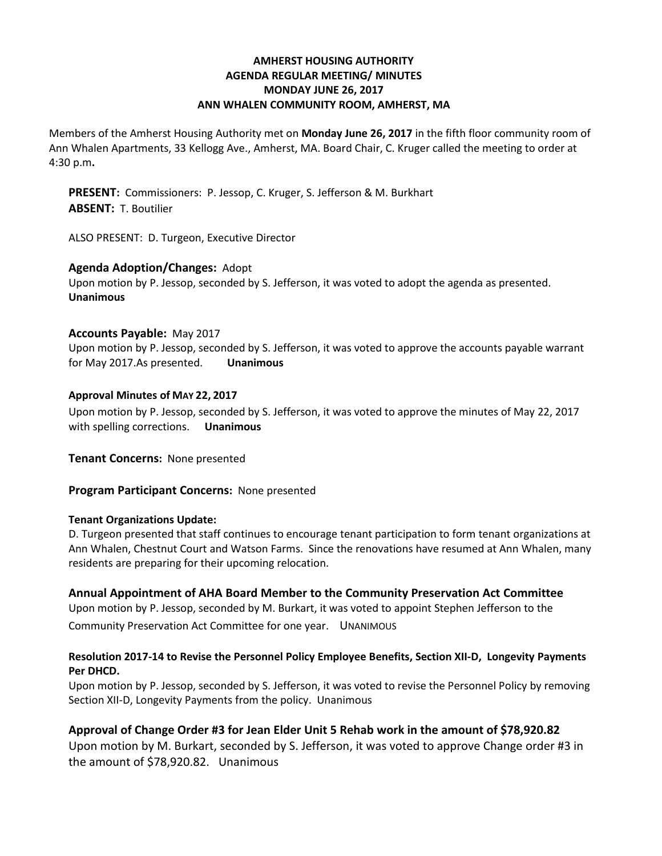# **AMHERST HOUSING AUTHORITY AGENDA REGULAR MEETING/ MINUTES MONDAY JUNE 26, 2017 ANN WHALEN COMMUNITY ROOM, AMHERST, MA**

Members of the Amherst Housing Authority met on **Monday June 26, 2017** in the fifth floor community room of Ann Whalen Apartments, 33 Kellogg Ave., Amherst, MA. Board Chair, C. Kruger called the meeting to order at 4:30 p.m**.**

**PRESENT:** Commissioners: P. Jessop, C. Kruger, S. Jefferson & M. Burkhart **ABSENT:** T. Boutilier

ALSO PRESENT: D. Turgeon, Executive Director

### **Agenda Adoption/Changes:** Adopt

Upon motion by P. Jessop, seconded by S. Jefferson, it was voted to adopt the agenda as presented. **Unanimous**

### **Accounts Payable:** May 2017

Upon motion by P. Jessop, seconded by S. Jefferson, it was voted to approve the accounts payable warrant for May 2017.As presented. **Unanimous**

### **Approval Minutes of MAY 22, 2017**

Upon motion by P. Jessop, seconded by S. Jefferson, it was voted to approve the minutes of May 22, 2017 with spelling corrections. **Unanimous**

**Tenant Concerns:** None presented

**Program Participant Concerns:** None presented

# **Tenant Organizations Update:**

D. Turgeon presented that staff continues to encourage tenant participation to form tenant organizations at Ann Whalen, Chestnut Court and Watson Farms. Since the renovations have resumed at Ann Whalen, many residents are preparing for their upcoming relocation.

# **Annual Appointment of AHA Board Member to the Community Preservation Act Committee**

Upon motion by P. Jessop, seconded by M. Burkart, it was voted to appoint Stephen Jefferson to the Community Preservation Act Committee for one year. UNANIMOUS

### **Resolution 2017-14 to Revise the Personnel Policy Employee Benefits, Section XII-D, Longevity Payments Per DHCD.**

Upon motion by P. Jessop, seconded by S. Jefferson, it was voted to revise the Personnel Policy by removing Section XII-D, Longevity Payments from the policy. Unanimous

# **Approval of Change Order #3 for Jean Elder Unit 5 Rehab work in the amount of \$78,920.82**

Upon motion by M. Burkart, seconded by S. Jefferson, it was voted to approve Change order #3 in the amount of \$78,920.82. Unanimous